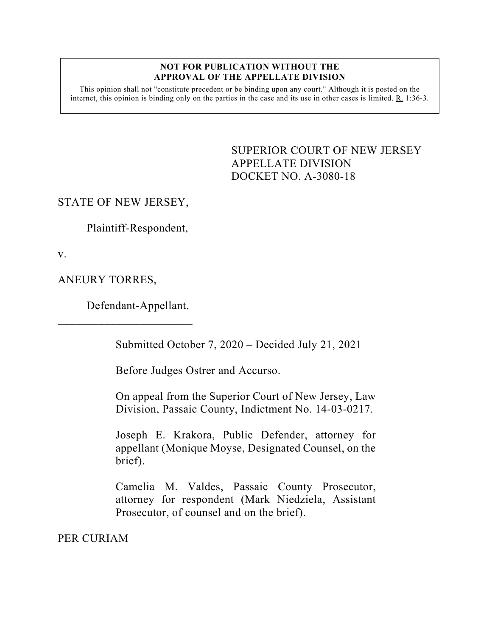#### **NOT FOR PUBLICATION WITHOUT THE APPROVAL OF THE APPELLATE DIVISION**

This opinion shall not "constitute precedent or be binding upon any court." Although it is posted on the internet, this opinion is binding only on the parties in the case and its use in other cases is limited. R. 1:36-3.

> <span id="page-0-0"></span>SUPERIOR COURT OF NEW JERSEY APPELLATE DIVISION DOCKET NO. A-3080-18

## STATE OF NEW JERSEY,

Plaintiff-Respondent,

v.

ANEURY TORRES,

Defendant-Appellant.

 $\overline{\phantom{a}}$  , which is the set of the set of the set of the set of the set of the set of the set of the set of the set of the set of the set of the set of the set of the set of the set of the set of the set of the set of

Submitted October 7, 2020 – Decided July 21, 2021

Before Judges Ostrer and Accurso.

On appeal from the Superior Court of New Jersey, Law Division, Passaic County, Indictment No. 14-03-0217.

Joseph E. Krakora, Public Defender, attorney for appellant (Monique Moyse, Designated Counsel, on the brief).

Camelia M. Valdes, Passaic County Prosecutor, attorney for respondent (Mark Niedziela, Assistant Prosecutor, of counsel and on the brief).

PER CURIAM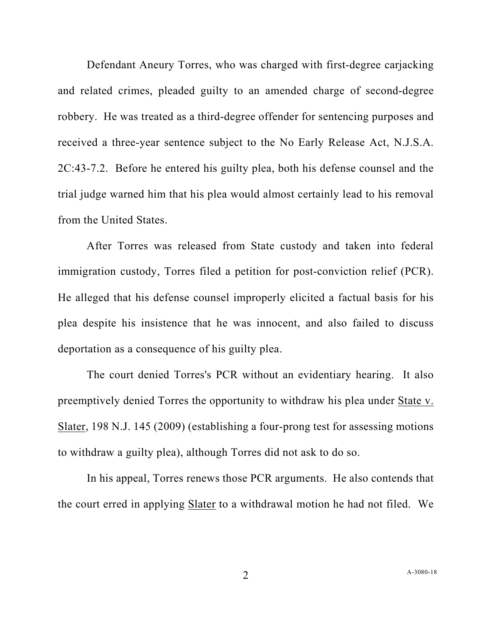Defendant Aneury Torres, who was charged with first-degree carjacking and related crimes, pleaded guilty to an amended charge of second-degree robbery. He was treated as a third-degree offender for sentencing purposes and received a three-year sentence subject to the No Early Release Act, N.J.S.A. 2C:43-7.2. Before he entered his guilty plea, both his defense counsel and the trial judge warned him that his plea would almost certainly lead to his removal from the United States.

After Torres was released from State custody and taken into federal immigration custody, Torres filed a petition for post-conviction relief (PCR). He alleged that his defense counsel improperly elicited a factual basis for his plea despite his insistence that he was innocent, and also failed to discuss deportation as a consequence of his guilty plea.

The court denied Torres's PCR without an evidentiary hearing. It also preemptively denied Torres the opportunity to withdraw his plea under State v. Slater, 198 N.J. 145 (2009) (establishing a four-prong test for assessing motions to withdraw a guilty plea), although Torres did not ask to do so.

In his appeal, Torres renews those PCR arguments. He also contends that the court erred in applying Slater to a withdrawal motion he had not filed. We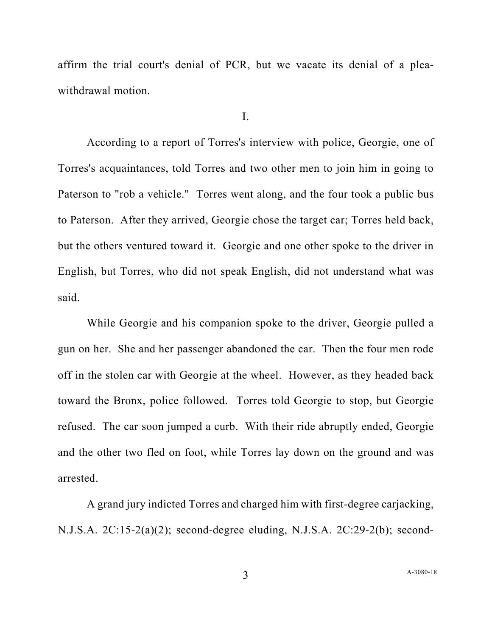affirm the trial court's denial of PCR, but we vacate its denial of a pleawithdrawal motion.

I.

According to a report of Torres's interview with police, Georgie, one of Torres's acquaintances, told Torres and two other men to join him in going to Paterson to "rob a vehicle." Torres went along, and the four took a public bus to Paterson. After they arrived, Georgie chose the target car; Torres held back, but the others ventured toward it. Georgie and one other spoke to the driver in English, but Torres, who did not speak English, did not understand what was said.

While Georgie and his companion spoke to the driver, Georgie pulled a gun on her. She and her passenger abandoned the car. Then the four men rode off in the stolen car with Georgie at the wheel. However, as they headed back toward the Bronx, police followed. Torres told Georgie to stop, but Georgie refused. The car soon jumped a curb. With their ride abruptly ended, Georgie and the other two fled on foot, while Torres lay down on the ground and was arrested.

A grand jury indicted Torres and charged him with first-degree carjacking, N.J.S.A. 2C:15-2(a)(2); second-degree eluding, N.J.S.A. 2C:29-2(b); second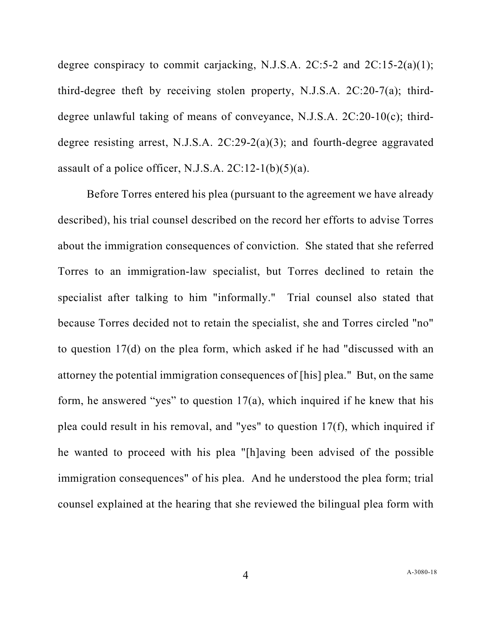degree conspiracy to commit carjacking, N.J.S.A. 2C:5-2 and 2C:15-2(a)(1); third-degree theft by receiving stolen property, N.J.S.A. 2C:20-7(a); thirddegree unlawful taking of means of conveyance, N.J.S.A. 2C:20-10(c); thirddegree resisting arrest, N.J.S.A. 2C:29-2(a)(3); and fourth-degree aggravated assault of a police officer, N.J.S.A.  $2C:12-1(b)(5)(a)$ .

Before Torres entered his plea (pursuant to the agreement we have already described), his trial counsel described on the record her efforts to advise Torres about the immigration consequences of conviction. She stated that she referred Torres to an immigration-law specialist, but Torres declined to retain the specialist after talking to him "informally." Trial counsel also stated that because Torres decided not to retain the specialist, she and Torres circled "no" to question 17(d) on the plea form, which asked if he had "discussed with an attorney the potential immigration consequences of [his] plea." But, on the same form, he answered "yes" to question  $17(a)$ , which inquired if he knew that his plea could result in his removal, and "yes" to question 17(f), which inquired if he wanted to proceed with his plea "[h]aving been advised of the possible immigration consequences" of his plea. And he understood the plea form; trial counsel explained at the hearing that she reviewed the bilingual plea form with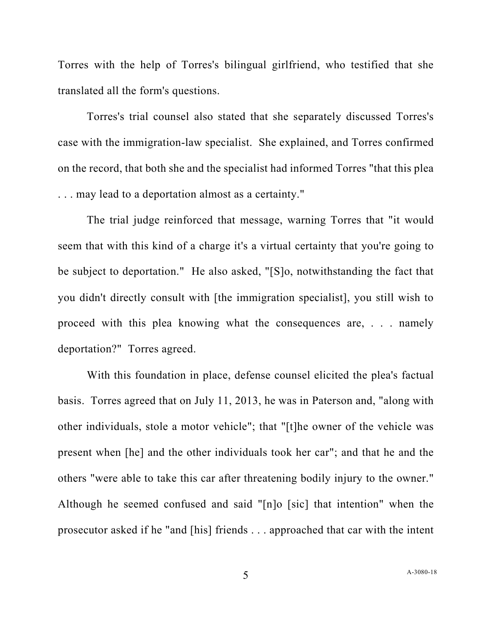Torres with the help of Torres's bilingual girlfriend, who testified that she translated all the form's questions.

Torres's trial counsel also stated that she separately discussed Torres's case with the immigration-law specialist. She explained, and Torres confirmed on the record, that both she and the specialist had informed Torres "that this plea . . . may lead to a deportation almost as a certainty."

The trial judge reinforced that message, warning Torres that "it would seem that with this kind of a charge it's a virtual certainty that you're going to be subject to deportation." He also asked, "[S]o, notwithstanding the fact that you didn't directly consult with [the immigration specialist], you still wish to proceed with this plea knowing what the consequences are, . . . namely deportation?" Torres agreed.

With this foundation in place, defense counsel elicited the plea's factual basis. Torres agreed that on July 11, 2013, he was in Paterson and, "along with other individuals, stole a motor vehicle"; that "[t]he owner of the vehicle was present when [he] and the other individuals took her car"; and that he and the others "were able to take this car after threatening bodily injury to the owner." Although he seemed confused and said "[n]o [sic] that intention" when the prosecutor asked if he "and [his] friends . . . approached that car with the intent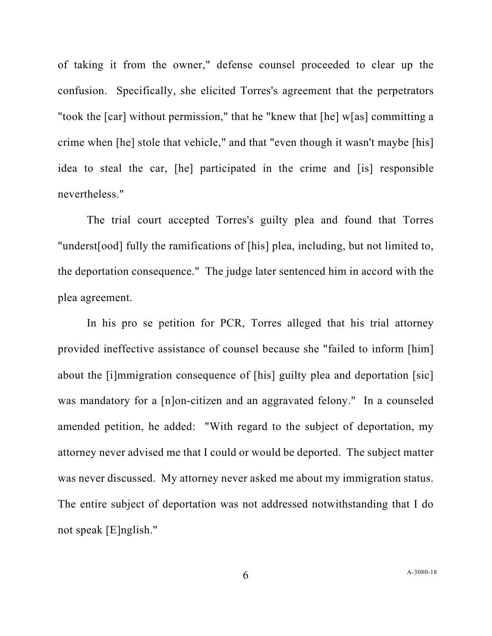of taking it from the owner," defense counsel proceeded to clear up the confusion. Specifically, she elicited Torres's agreement that the perpetrators "took the [car] without permission," that he "knew that [he] w[as] committing a crime when [he] stole that vehicle," and that "even though it wasn't maybe [his] idea to steal the car, [he] participated in the crime and [is] responsible nevertheless."

The trial court accepted Torres's guilty plea and found that Torres "underst[ood] fully the ramifications of [his] plea, including, but not limited to, the deportation consequence." The judge later sentenced him in accord with the plea agreement.

In his pro se petition for PCR, Torres alleged that his trial attorney provided ineffective assistance of counsel because she "failed to inform [him] about the [i]mmigration consequence of [his] guilty plea and deportation [sic] was mandatory for a [n]on-citizen and an aggravated felony." In a counseled amended petition, he added: "With regard to the subject of deportation, my attorney never advised me that I could or would be deported. The subject matter was never discussed. My attorney never asked me about my immigration status. The entire subject of deportation was not addressed notwithstanding that I do not speak [E]nglish."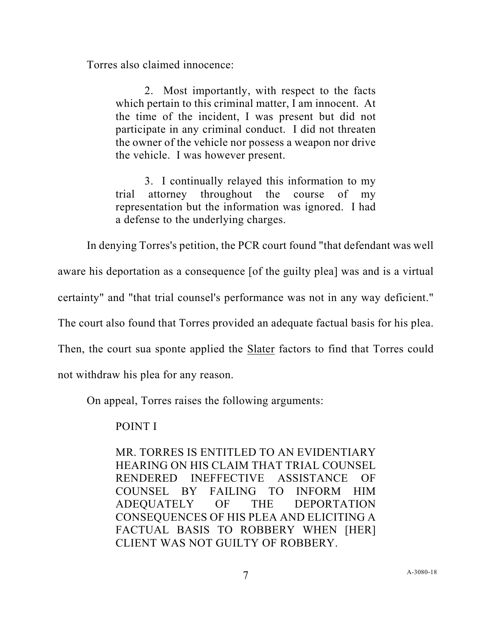Torres also claimed innocence:

2. Most importantly, with respect to the facts which pertain to this criminal matter, I am innocent. At the time of the incident, I was present but did not participate in any criminal conduct. I did not threaten the owner of the vehicle nor possess a weapon nor drive the vehicle. I was however present.

3. I continually relayed this information to my trial attorney throughout the course of my representation but the information was ignored. I had a defense to the underlying charges.

In denying Torres's petition, the PCR court found "that defendant was well

aware his deportation as a consequence [of the guilty plea] was and is a virtual

certainty" and "that trial counsel's performance was not in any way deficient."

The court also found that Torres provided an adequate factual basis for his plea.

Then, the court sua sponte applied the Slater factors to find that Torres could

not withdraw his plea for any reason.

On appeal, Torres raises the following arguments:

## POINT I

MR. TORRES IS ENTITLED TO AN EVIDENTIARY HEARING ON HIS CLAIM THAT TRIAL COUNSEL RENDERED INEFFECTIVE ASSISTANCE OF COUNSEL BY FAILING TO INFORM HIM ADEQUATELY OF THE DEPORTATION CONSEQUENCES OF HIS PLEA AND ELICITING A FACTUAL BASIS TO ROBBERY WHEN [HER] CLIENT WAS NOT GUILTY OF ROBBERY.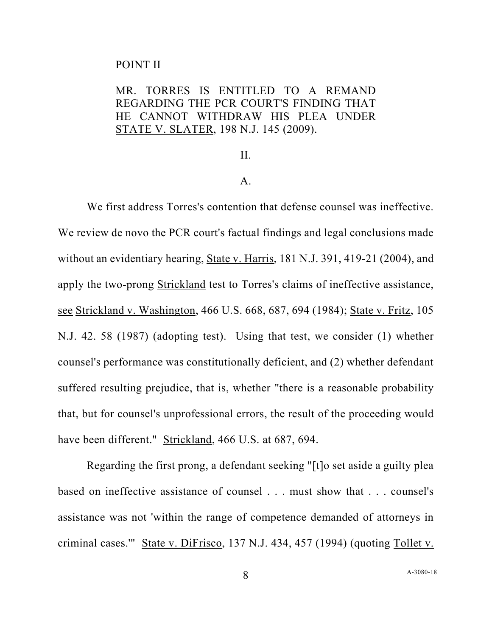### POINT II

# MR. TORRES IS ENTITLED TO A REMAND REGARDING THE PCR COURT'S FINDING THAT HE CANNOT WITHDRAW HIS PLEA UNDER STATE V. SLATER, 198 N.J. 145 (2009).

### II.

### A.

We first address Torres's contention that defense counsel was ineffective. We review de novo the PCR court's factual findings and legal conclusions made without an evidentiary hearing, State v. Harris, 181 N.J. 391, 419-21 (2004), and apply the two-prong Strickland test to Torres's claims of ineffective assistance, see Strickland v. Washington, 466 U.S. 668, 687, 694 (1984); State v. Fritz, 105 N.J. 42. 58 (1987) (adopting test). Using that test, we consider (1) whether counsel's performance was constitutionally deficient, and (2) whether defendant suffered resulting prejudice, that is, whether "there is a reasonable probability that, but for counsel's unprofessional errors, the result of the proceeding would have been different." Strickland, 466 U.S. at 687, 694.

Regarding the first prong, a defendant seeking "[t]o set aside a guilty plea based on ineffective assistance of counsel . . . must show that . . . counsel's assistance was not 'within the range of competence demanded of attorneys in criminal cases.'" State v. DiFrisco, 137 N.J. 434, 457 (1994) (quoting Tollet v.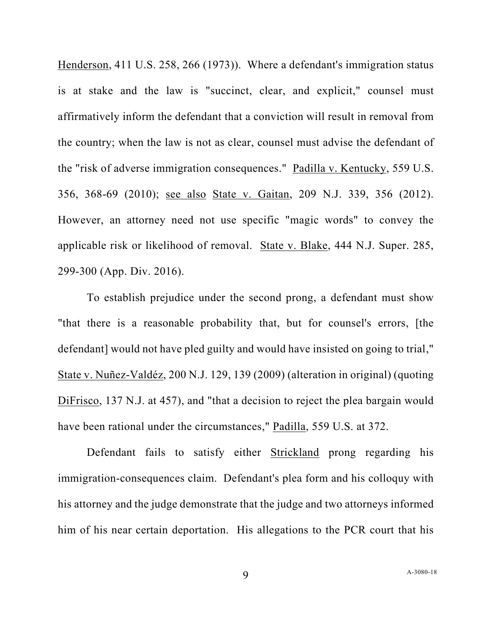Henderson, 411 U.S. 258, 266 (1973)). Where a defendant's immigration status is at stake and the law is "succinct, clear, and explicit," counsel must affirmatively inform the defendant that a conviction will result in removal from the country; when the law is not as clear, counsel must advise the defendant of the "risk of adverse immigration consequences." Padilla v. Kentucky, 559 U.S. 356, 368-69 (2010); see also State v. Gaitan, 209 N.J. 339, 356 (2012). However, an attorney need not use specific "magic words" to convey the applicable risk or likelihood of removal. State v. Blake, 444 N.J. Super. 285, 299-300 (App. Div. 2016).

To establish prejudice under the second prong, a defendant must show "that there is a reasonable probability that, but for counsel's errors, [the defendant] would not have pled guilty and would have insisted on going to trial," State v. Nuñez-Valdéz, 200 N.J. 129, 139 (2009) (alteration in original) (quoting DiFrisco, 137 N.J. at 457), and "that a decision to reject the plea bargain would have been rational under the circumstances," Padilla, 559 U.S. at 372.

Defendant fails to satisfy either Strickland prong regarding his immigration-consequences claim. Defendant's plea form and his colloquy with his attorney and the judge demonstrate that the judge and two attorneys informed him of his near certain deportation. His allegations to the PCR court that his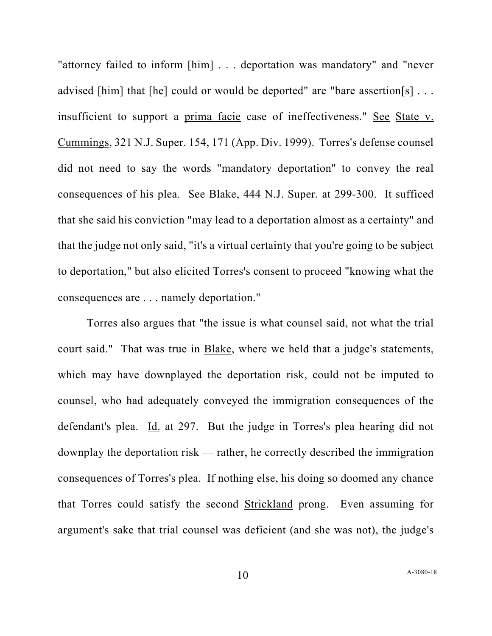"attorney failed to inform [him] . . . deportation was mandatory" and "never advised [him] that [he] could or would be deported" are "bare assertion[s] ... insufficient to support a prima facie case of ineffectiveness." See State v. Cummings, 321 N.J. Super. 154, 171 (App. Div. 1999). Torres's defense counsel did not need to say the words "mandatory deportation" to convey the real consequences of his plea. See Blake, 444 N.J. Super. at 299-300. It sufficed that she said his conviction "may lead to a deportation almost as a certainty" and that the judge not only said, "it's a virtual certainty that you're going to be subject to deportation," but also elicited Torres's consent to proceed "knowing what the consequences are . . . namely deportation."

Torres also argues that "the issue is what counsel said, not what the trial court said." That was true in Blake, where we held that a judge's statements, which may have downplayed the deportation risk, could not be imputed to counsel, who had adequately conveyed the immigration consequences of the defendant's plea. Id. at 297. But the judge in Torres's plea hearing did not downplay the deportation risk — rather, he correctly described the immigration consequences of Torres's plea. If nothing else, his doing so doomed any chance that Torres could satisfy the second Strickland prong. Even assuming for argument's sake that trial counsel was deficient (and she was not), the judge's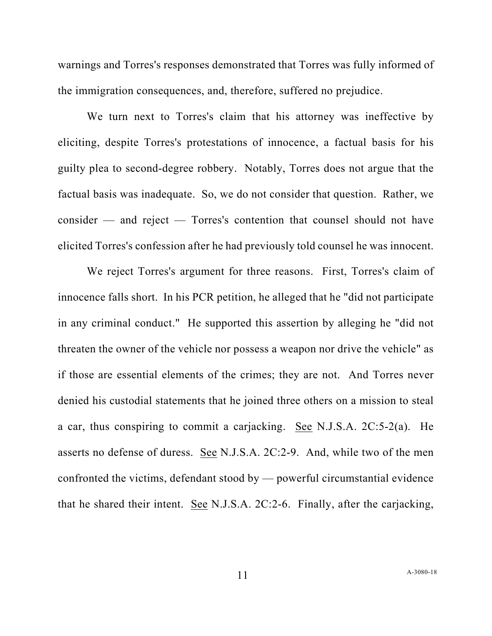warnings and Torres's responses demonstrated that Torres was fully informed of the immigration consequences, and, therefore, suffered no prejudice.

We turn next to Torres's claim that his attorney was ineffective by eliciting, despite Torres's protestations of innocence, a factual basis for his guilty plea to second-degree robbery. Notably, Torres does not argue that the factual basis was inadequate. So, we do not consider that question. Rather, we consider — and reject — Torres's contention that counsel should not have elicited Torres's confession after he had previously told counsel he was innocent.

We reject Torres's argument for three reasons. First, Torres's claim of innocence falls short. In his PCR petition, he alleged that he "did not participate in any criminal conduct." He supported this assertion by alleging he "did not threaten the owner of the vehicle nor possess a weapon nor drive the vehicle" as if those are essential elements of the crimes; they are not. And Torres never denied his custodial statements that he joined three others on a mission to steal a car, thus conspiring to commit a carjacking. See N.J.S.A. 2C:5-2(a). He asserts no defense of duress. See N.J.S.A. 2C:2-9. And, while two of the men confronted the victims, defendant stood by — powerful circumstantial evidence that he shared their intent. See N.J.S.A. 2C:2-6. Finally, after the carjacking,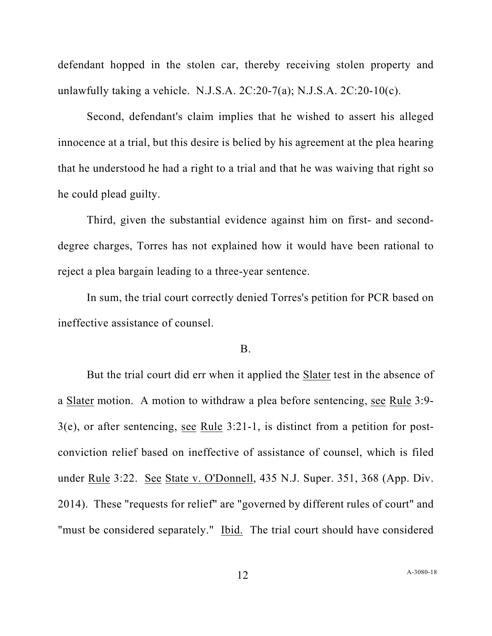defendant hopped in the stolen car, thereby receiving stolen property and unlawfully taking a vehicle. N.J.S.A.  $2C:20-7(a)$ ; N.J.S.A.  $2C:20-10(c)$ .

Second, defendant's claim implies that he wished to assert his alleged innocence at a trial, but this desire is belied by his agreement at the plea hearing that he understood he had a right to a trial and that he was waiving that right so he could plead guilty.

Third, given the substantial evidence against him on first- and seconddegree charges, Torres has not explained how it would have been rational to reject a plea bargain leading to a three-year sentence.

In sum, the trial court correctly denied Torres's petition for PCR based on ineffective assistance of counsel.

### B.

But the trial court did err when it applied the Slater test in the absence of a Slater motion. A motion to withdraw a plea before sentencing, see Rule 3:9-3(e), or after sentencing, see Rule 3:21-1, is distinct from a petition for postconviction relief based on ineffective of assistance of counsel, which is filed under Rule 3:22. See State v. O'Donnell, 435 N.J. Super. 351, 368 (App. Div. 2014). These "requests for relief" are "governed by different rules of court" and "must be considered separately." Ibid. The trial court should have considered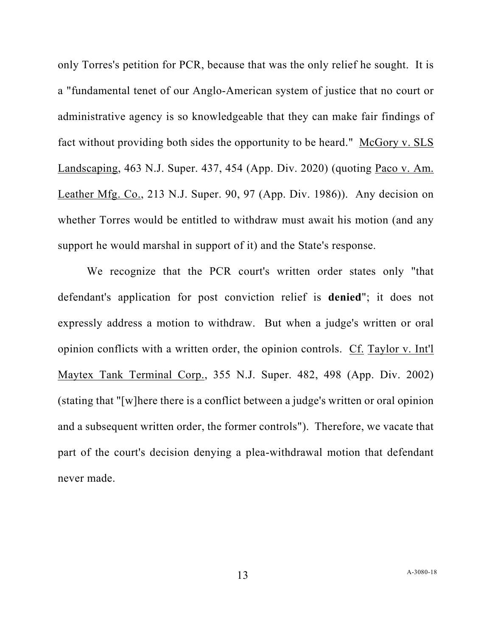only Torres's petition for PCR, because that was the only relief he sought. It is a "fundamental tenet of our Anglo-American system of justice that no court or administrative agency is so knowledgeable that they can make fair findings of fact without providing both sides the opportunity to be heard." McGory v. SLS Landscaping, 463 N.J. Super. 437, 454 (App. Div. 2020) (quoting Paco v. Am. Leather Mfg. Co., 213 N.J. Super. 90, 97 (App. Div. 1986)). Any decision on whether Torres would be entitled to withdraw must await his motion (and any support he would marshal in support of it) and the State's response.

We recognize that the PCR court's written order states only "that defendant's application for post conviction relief is **denied**"; it does not expressly address a motion to withdraw. But when a judge's written or oral opinion conflicts with a written order, the opinion controls. Cf. Taylor v. Int'l Maytex Tank Terminal Corp., 355 N.J. Super. 482, 498 (App. Div. 2002) (stating that "[w]here there is a conflict between a judge's written or oral opinion and a subsequent written order, the former controls"). Therefore, we vacate that part of the court's decision denying a plea-withdrawal motion that defendant never made.